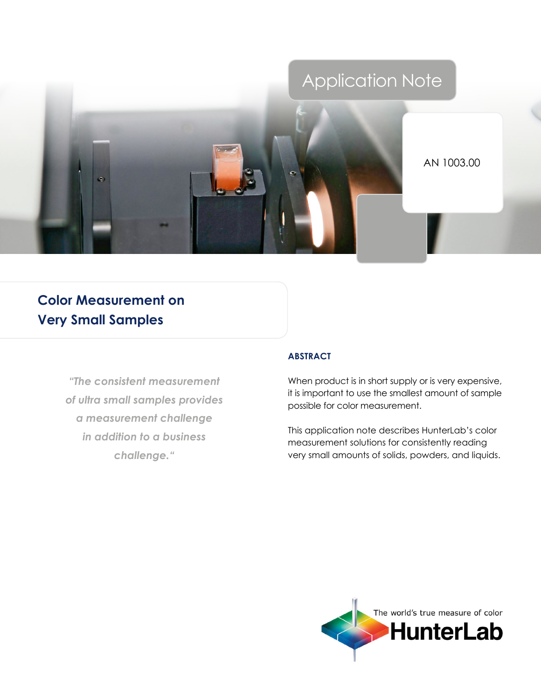# Application Note



AN 1003.00

# **Color Measurement on Very Small Samples**

*"The consistent measurement of ultra small samples provides a measurement challenge in addition to a business challenge."*

## **Abstract**

When product is in short supply or is very expensive, it is important to use the smallest amount of sample possible for color measurement.

This application note describes HunterLab's color measurement solutions for consistently reading very small amounts of solids, powders, and liquids.

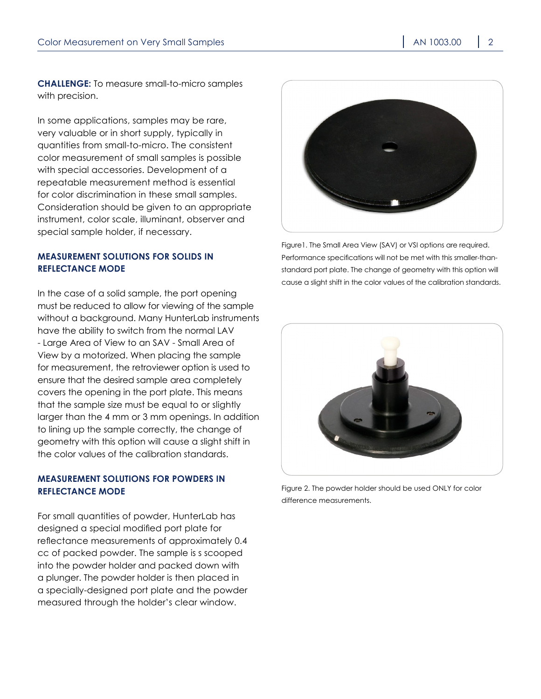**Challenge:** To measure small-to-micro samples with precision.

In some applications, samples may be rare, very valuable or in short supply, typically in quantities from small-to-micro. The consistent color measurement of small samples is possible with special accessories. Development of a repeatable measurement method is essential for color discrimination in these small samples. Consideration should be given to an appropriate instrument, color scale, illuminant, observer and special sample holder, if necessary.

#### **Measurement Solutions for Solids in Reflectance Mode**

In the case of a solid sample, the port opening must be reduced to allow for viewing of the sample without a background. Many HunterLab instruments have the ability to switch from the normal LAV - Large Area of View to an SAV - Small Area of View by a motorized. When placing the sample for measurement, the retroviewer option is used to ensure that the desired sample area completely covers the opening in the port plate. This means that the sample size must be equal to or slightly larger than the 4 mm or 3 mm openings. In addition to lining up the sample correctly, the change of geometry with this option will cause a slight shift in the color values of the calibration standards.

# **Measurement Solutions for Powders in Reflectance Mode**

For small quantities of powder, HunterLab has designed a special modified port plate for reflectance measurements of approximately 0.4 cc of packed powder. The sample is s scooped into the powder holder and packed down with a plunger. The powder holder is then placed in a specially-designed port plate and the powder measured through the holder's clear window.



Figure1. The Small Area View (SAV) or VSI options are required. Performance specifications will not be met with this smaller-thanstandard port plate. The change of geometry with this option will cause a slight shift in the color values of the calibration standards.



Figure 2. The powder holder should be used ONLY for color difference measurements.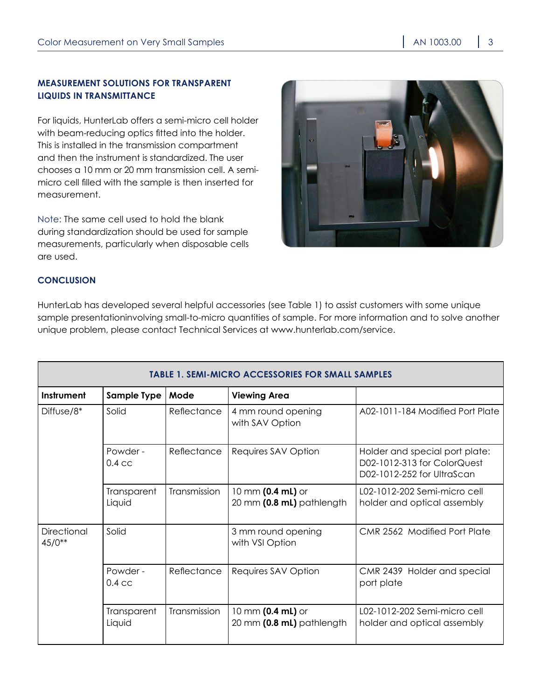## **Measurement Solutions for Transparent Liquids in Transmittance**

For liquids, HunterLab offers a semi-micro cell holder with beam-reducing optics fitted into the holder. This is installed in the transmission compartment and then the instrument is standardized. The user chooses a 10 mm or 20 mm transmission cell. A semimicro cell filled with the sample is then inserted for measurement.

Note: The same cell used to hold the blank during standardization should be used for sample measurements, particularly when disposable cells are used.



#### **Conclusion**

HunterLab has developed several helpful accessories (see Table 1) to assist customers with some unique sample presentationinvolving small-to-micro quantities of sample. For more information and to solve another unique problem, please contact Technical Services at [www.hunterlab.com/service.](http://www.hunterlab.com/service)

| <b>TABLE 1. SEMI-MICRO ACCESSORIES FOR SMALL SAMPLES</b> |                                  |              |                                                |                                                                                             |
|----------------------------------------------------------|----------------------------------|--------------|------------------------------------------------|---------------------------------------------------------------------------------------------|
| Instrument                                               | <b>Sample Type</b>               | Mode         | <b>Viewing Area</b>                            |                                                                                             |
| Diffuse/8 <sup>*</sup>                                   | Solid                            | Reflectance  | 4 mm round opening<br>with SAV Option          | A02-1011-184 Modified Port Plate                                                            |
|                                                          | Powder -<br>$0.4 \, \mathrm{cc}$ | Reflectance  | Requires SAV Option                            | Holder and special port plate:<br>D02-1012-313 for ColorQuest<br>D02-1012-252 for UltraScan |
|                                                          | Transparent<br>Liquid            | Transmission | 10 mm (0.4 mL) or<br>20 mm (0.8 mL) pathlength | L02-1012-202 Semi-micro cell<br>holder and optical assembly                                 |
| <b>Directional</b><br>$45/0**$                           | Solid                            |              | 3 mm round opening<br>with VSI Option          | <b>CMR 2562 Modified Port Plate</b>                                                         |
|                                                          | Powder -<br>$0.4 \, \mathrm{cc}$ | Reflectance  | Requires SAV Option                            | CMR 2439 Holder and special<br>port plate                                                   |
|                                                          | Transparent<br>Liquid            | Transmission | 10 mm (0.4 mL) or<br>20 mm (0.8 mL) pathlength | L02-1012-202 Semi-micro cell<br>holder and optical assembly                                 |